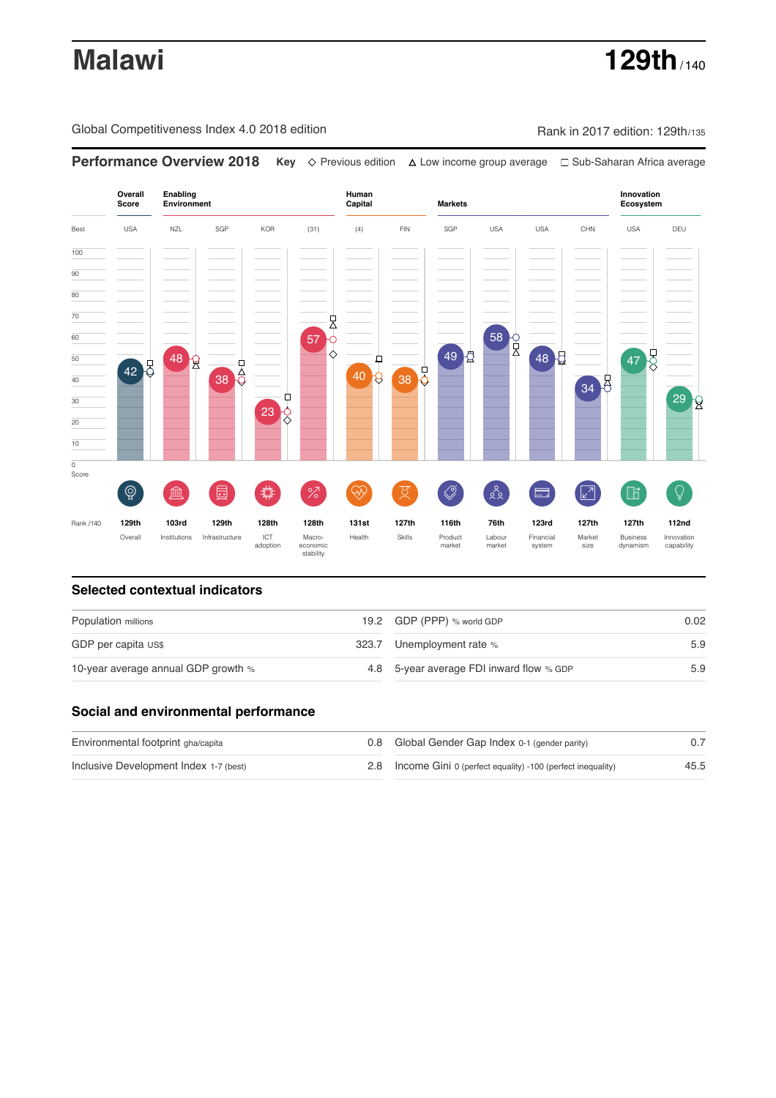# **Malawi 129th** / 140

Global Competitiveness Index 4.0 2018 edition Rank in 2017 edition: 129th/135

**Overall Innovation Enabling Environment Human Capital Markets Score Ecosystem** Best USA NZL SGP KOR (31) (4) FIN SGP USA USA CHN USA DEU 100  $\overline{90}$ 80 70 57 0 60 58 P 49 2 47 50 48 8  $48<sup>1</sup>$ ₽  $\overline{38}$  $\overline{6}$ 42 8 40 8 38 9 40 34 8 ₫  $29<sub>2</sub>$ 30 23 20 10  $\overline{\text{o}}$ Score ♦ ៍{៌្ម}  $\bigotimes$  $28$ **ledge (** 茴 %)(  $\circledcirc$  ( ਸ਼ੁ 击  $\sqrt{2}$ 脂 局 Rank /140 **129th 103rd 129th 128th 128th 131st 127th 116th 76th 123rd 127th 127th 112nd** Overall Institutions Infrastructure ICT<br>adoption adoption Macro- economic stability Health Skills Product market Labour<br>market Financial system Market size Business dynamism Innovation capability

**Performance Overview 2018 Key** Previous edition Low income group average Sub-Saharan Africa average

### **Selected contextual indicators**

| Population millions                 | 19.2 GDP (PPP) % world GDP               | 0.02 |
|-------------------------------------|------------------------------------------|------|
| GDP per capita US\$                 | 323.7 Unemployment rate %                | 5.9  |
| 10-year average annual GDP growth % | 4.8 5-year average FDI inward flow % GDP | 5.9  |

### **Social and environmental performance**

| Environmental footprint gha/capita     | 0.8 Global Gender Gap Index 0-1 (gender parity)                |      |
|----------------------------------------|----------------------------------------------------------------|------|
| Inclusive Development Index 1-7 (best) | 2.8 Income Gini 0 (perfect equality) -100 (perfect inequality) | 45.5 |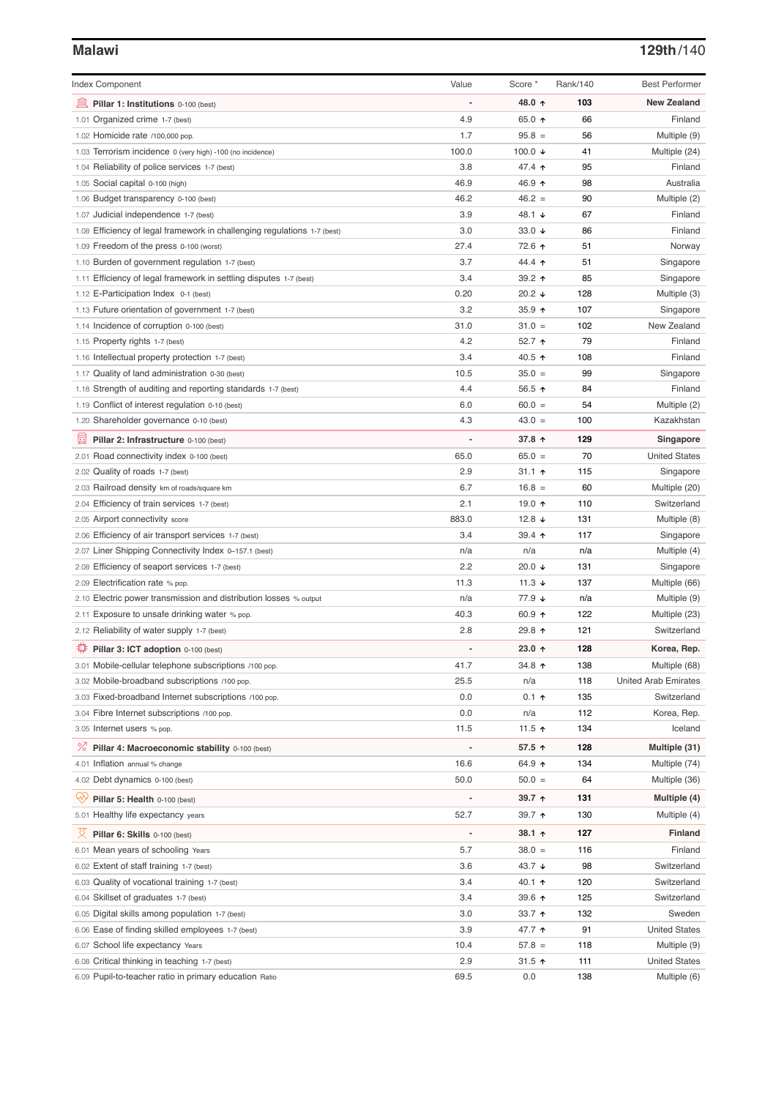# **Malawi 129th**/140

| <b>Index Component</b>                                                                                  | Value                    | Score *            | Rank/140   | <b>Best Performer</b>                |
|---------------------------------------------------------------------------------------------------------|--------------------------|--------------------|------------|--------------------------------------|
| 寙                                                                                                       |                          | 48.0 ↑             | 103        | <b>New Zealand</b>                   |
| Pillar 1: Institutions 0-100 (best)                                                                     | 4.9                      | 65.0 ↑             | 66         | Finland                              |
| 1.01 Organized crime 1-7 (best)<br>1.02 Homicide rate /100,000 pop.                                     | 1.7                      | $95.8 =$           | 56         | Multiple (9)                         |
| 1.03 Terrorism incidence 0 (very high) -100 (no incidence)                                              | 100.0                    | 100.0 $\downarrow$ | 41         | Multiple (24)                        |
| 1.04 Reliability of police services 1-7 (best)                                                          | 3.8                      | 47.4 ተ             | 95         | Finland                              |
| 1.05 Social capital 0-100 (high)                                                                        | 46.9                     | 46.9 ↑             | 98         | Australia                            |
| 1.06 Budget transparency 0-100 (best)                                                                   | 46.2                     | $46.2 =$           | 90         | Multiple (2)                         |
| 1.07 Judicial independence 1-7 (best)                                                                   | 3.9                      | 48.1 ↓             | 67         | Finland                              |
| 1.08 Efficiency of legal framework in challenging regulations 1-7 (best)                                | 3.0                      | 33.0 $\sqrt{ }$    | 86         | Finland                              |
| 1.09 Freedom of the press 0-100 (worst)                                                                 | 27.4                     | 72.6 个             | 51         | Norway                               |
| 1.10 Burden of government regulation 1-7 (best)                                                         | 3.7                      | 44.4 1             | 51         | Singapore                            |
| 1.11 Efficiency of legal framework in settling disputes 1-7 (best)                                      | 3.4                      | 39.2 ↑             | 85         | Singapore                            |
| 1.12 E-Participation Index 0-1 (best)                                                                   | 0.20                     | 20.2 ↓             | 128        | Multiple (3)                         |
| 1.13 Future orientation of government 1-7 (best)                                                        | 3.2                      | 35.9 个             | 107        | Singapore                            |
| 1.14 Incidence of corruption 0-100 (best)                                                               | 31.0                     | $31.0 =$           | 102        | New Zealand                          |
| 1.15 Property rights 1-7 (best)                                                                         | 4.2                      | 52.7 ↑             | 79         | Finland                              |
| 1.16 Intellectual property protection 1-7 (best)                                                        | 3.4                      | 40.5 ↑             | 108        | Finland                              |
| 1.17 Quality of land administration 0-30 (best)                                                         | 10.5                     | $35.0 =$           | 99         | Singapore                            |
| 1.18 Strength of auditing and reporting standards 1-7 (best)                                            | 4.4                      | 56.5 ↑             | 84         | Finland                              |
| 1.19 Conflict of interest regulation 0-10 (best)                                                        | 6.0                      | $60.0 =$           | 54         | Multiple (2)                         |
| 1.20 Shareholder governance 0-10 (best)                                                                 | 4.3                      | $43.0 =$           | 100        | Kazakhstan                           |
| 囩<br>Pillar 2: Infrastructure 0-100 (best)                                                              | ÷,                       | 37.8 个             | 129        | Singapore                            |
| 2.01 Road connectivity index 0-100 (best)                                                               | 65.0                     | $65.0 =$           | 70         | <b>United States</b>                 |
| 2.02 Quality of roads 1-7 (best)                                                                        | 2.9                      | $31.1 +$           | 115        | Singapore                            |
| 2.03 Railroad density km of roads/square km                                                             | 6.7                      | $16.8 =$           | 60         | Multiple (20)                        |
| 2.04 Efficiency of train services 1-7 (best)                                                            | 2.1                      | 19.0 ↑             | 110        | Switzerland                          |
| 2.05 Airport connectivity score                                                                         | 883.0                    | 12.8 $\sqrt{ }$    | 131        | Multiple (8)                         |
| 2.06 Efficiency of air transport services 1-7 (best)                                                    | 3.4                      | 39.4 个             | 117        | Singapore                            |
| 2.07 Liner Shipping Connectivity Index 0-157.1 (best)                                                   | n/a                      | n/a                | n/a        | Multiple (4)                         |
| 2.08 Efficiency of seaport services 1-7 (best)                                                          | 2.2                      | 20.0 ↓             | 131        | Singapore                            |
| 2.09 Electrification rate % pop.                                                                        | 11.3                     | 11.3 $\sqrt{ }$    | 137        | Multiple (66)                        |
| 2.10 Electric power transmission and distribution losses % output                                       | n/a                      | 77.9 ↓             | n/a        | Multiple (9)                         |
| 2.11 Exposure to unsafe drinking water % pop.                                                           | 40.3                     | 60.9 $\uparrow$    | 122        | Multiple (23)                        |
| 2.12 Reliability of water supply 1-7 (best)                                                             | 2.8                      | 29.8 ተ             | 121        | Switzerland                          |
| Pillar 3: ICT adoption 0-100 (best)                                                                     |                          | 23.0 ↑             | 128        | Korea, Rep.                          |
| 3.01 Mobile-cellular telephone subscriptions /100 pop.                                                  | 41.7                     | 34.8 个             | 138        | Multiple (68)                        |
| 3.02 Mobile-broadband subscriptions /100 pop.                                                           | 25.5                     | n/a                | 118        | <b>United Arab Emirates</b>          |
| 3.03 Fixed-broadband Internet subscriptions /100 pop.                                                   | 0.0                      | $0.1$ ↑            | 135        | Switzerland                          |
| 3.04 Fibre Internet subscriptions /100 pop.                                                             | 0.0                      | n/a                | 112        | Korea, Rep.                          |
| 3.05 Internet users % pop.                                                                              | 11.5                     | 11.5 $\uparrow$    | 134        | Iceland                              |
| ℅<br>Pillar 4: Macroeconomic stability 0-100 (best)                                                     | $\overline{\phantom{a}}$ | 57.5 ↑             | 128        | Multiple (31)                        |
| 4.01 Inflation annual % change                                                                          | 16.6                     | 64.9 ↑             | 134        | Multiple (74)                        |
| 4.02 Debt dynamics 0-100 (best)                                                                         | 50.0                     | $50.0 =$           | 64         | Multiple (36)                        |
| Qv<br>Pillar 5: Health 0-100 (best)                                                                     | ÷                        | 39.7 ↑             | 131        | Multiple (4)                         |
| 5.01 Healthy life expectancy years                                                                      | 52.7                     | 39.7 ↑             | 130        | Multiple (4)                         |
|                                                                                                         |                          |                    |            |                                      |
| 섯<br>Pillar 6: Skills 0-100 (best)                                                                      | $\overline{\phantom{0}}$ | 38.1 ↑             | 127        | Finland                              |
| 6.01 Mean years of schooling Years                                                                      | 5.7                      | $38.0 =$           | 116        | Finland                              |
| 6.02 Extent of staff training 1-7 (best)                                                                | 3.6                      | 43.7 ↓             | 98         | Switzerland                          |
| 6.03 Quality of vocational training 1-7 (best)                                                          | 3.4                      | 40.1 ተ             | 120        | Switzerland                          |
| 6.04 Skillset of graduates 1-7 (best)                                                                   | 3.4                      | 39.6 个             | 125        | Switzerland                          |
| 6.05 Digital skills among population 1-7 (best)                                                         | 3.0                      | 33.7 ↑             | 132        | Sweden                               |
| 6.06 Ease of finding skilled employees 1-7 (best)                                                       | 3.9                      | 47.7 ተ             | 91         | <b>United States</b>                 |
| 6.07 School life expectancy Years                                                                       | 10.4<br>2.9              | $57.8 =$<br>31.5 ↑ | 118        | Multiple (9)<br><b>United States</b> |
| 6.08 Critical thinking in teaching 1-7 (best)<br>6.09 Pupil-to-teacher ratio in primary education Ratio | 69.5                     | 0.0                | 111<br>138 | Multiple (6)                         |